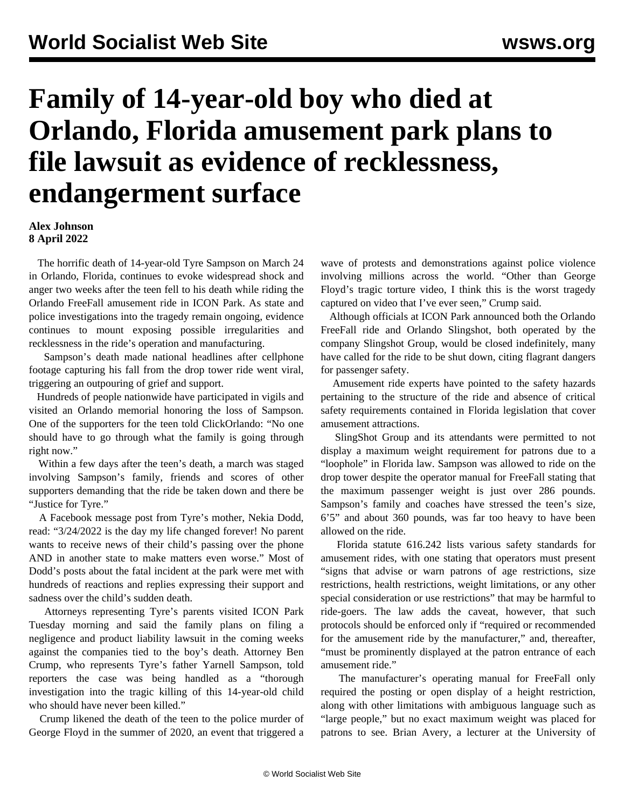## **Family of 14-year-old boy who died at Orlando, Florida amusement park plans to file lawsuit as evidence of recklessness, endangerment surface**

**Alex Johnson 8 April 2022**

 The horrific death of 14-year-old Tyre Sampson on March 24 in Orlando, Florida, continues to evoke widespread shock and anger two weeks after the teen fell to his death while riding the Orlando FreeFall amusement ride in ICON Park. As state and police investigations into the tragedy remain ongoing, evidence continues to mount exposing possible irregularities and recklessness in the ride's operation and manufacturing.

 Sampson's death made national headlines after cellphone footage capturing his fall from the drop tower ride went viral, triggering an outpouring of grief and support.

 Hundreds of people nationwide have participated in vigils and visited an Orlando memorial honoring the loss of Sampson. One of the supporters for the teen told ClickOrlando: "No one should have to go through what the family is going through right now."

 Within a few days after the teen's death, a march was staged involving Sampson's family, friends and scores of other supporters demanding that the ride be taken down and there be "Justice for Tyre."

 A Facebook message post from Tyre's mother, Nekia Dodd, read: "3/24/2022 is the day my life changed forever! No parent wants to receive news of their child's passing over the phone AND in another state to make matters even worse." Most of Dodd's posts about the fatal incident at the park were met with hundreds of reactions and replies expressing their support and sadness over the child's sudden death.

 Attorneys representing Tyre's parents visited ICON Park Tuesday morning and said the family plans on filing a negligence and product liability lawsuit in the coming weeks against the companies tied to the boy's death. Attorney Ben Crump, who represents Tyre's father Yarnell Sampson, told reporters the case was being handled as a "thorough investigation into the tragic killing of this 14-year-old child who should have never been killed."

 Crump likened the death of the teen to the police murder of George Floyd in the summer of 2020, an event that triggered a

wave of protests and demonstrations against police violence involving millions across the world. "Other than George Floyd's tragic torture video, I think this is the worst tragedy captured on video that I've ever seen," Crump said.

 Although officials at ICON Park announced both the Orlando FreeFall ride and Orlando Slingshot, both operated by the company Slingshot Group, would be closed indefinitely, many have called for the ride to be shut down, citing flagrant dangers for passenger safety.

 Amusement ride experts have pointed to the safety hazards pertaining to the structure of the ride and absence of critical safety requirements contained in Florida legislation that cover amusement attractions.

 SlingShot Group and its attendants were permitted to not display a maximum weight requirement for patrons due to a "loophole" in Florida law. Sampson was allowed to ride on the drop tower despite the operator manual for FreeFall stating that the maximum passenger weight is just over 286 pounds. Sampson's family and coaches have stressed the teen's size, 6'5" and about 360 pounds, was far too heavy to have been allowed on the ride.

 Florida statute 616.242 lists various safety standards for amusement rides, with one stating that operators must present "signs that advise or warn patrons of age restrictions, size restrictions, health restrictions, weight limitations, or any other special consideration or use restrictions" that may be harmful to ride-goers. The law adds the caveat, however, that such protocols should be enforced only if "required or recommended for the amusement ride by the manufacturer," and, thereafter, "must be prominently displayed at the patron entrance of each amusement ride."

 The manufacturer's operating manual for FreeFall only required the posting or open display of a height restriction, along with other limitations with ambiguous language such as "large people," but no exact maximum weight was placed for patrons to see. Brian Avery, a lecturer at the University of